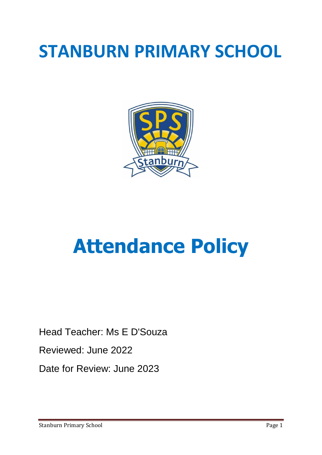# **STANBURN PRIMARY SCHOOL**



# **Attendance Policy**

Head Teacher: Ms E D'Souza

Reviewed: June 2022

Date for Review: June 2023

Stanburn Primary School **Page 1** Page 1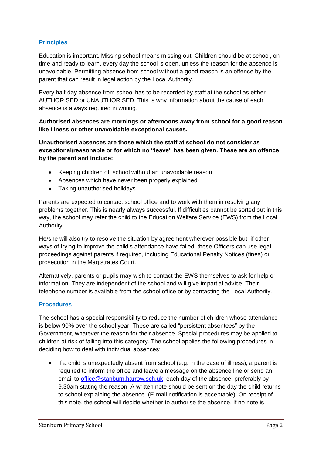# **Principles**

Education is important. Missing school means missing out. Children should be at school, on time and ready to learn, every day the school is open, unless the reason for the absence is unavoidable. Permitting absence from school without a good reason is an offence by the parent that can result in legal action by the Local Authority.

Every half-day absence from school has to be recorded by staff at the school as either AUTHORISED or UNAUTHORISED. This is why information about the cause of each absence is always required in writing.

#### **Authorised absences are mornings or afternoons away from school for a good reason like illness or other unavoidable exceptional causes.**

**Unauthorised absences are those which the staff at school do not consider as exceptional/reasonable or for which no "leave" has been given. These are an offence by the parent and include:**

- Keeping children off school without an unavoidable reason
- Absences which have never been properly explained
- Taking unauthorised holidays

Parents are expected to contact school office and to work with them in resolving any problems together. This is nearly always successful. If difficulties cannot be sorted out in this way, the school may refer the child to the Education Welfare Service (EWS) from the Local Authority.

He/she will also try to resolve the situation by agreement wherever possible but, if other ways of trying to improve the child's attendance have failed, these Officers can use legal proceedings against parents if required, including Educational Penalty Notices (fines) or prosecution in the Magistrates Court.

Alternatively, parents or pupils may wish to contact the EWS themselves to ask for help or information. They are independent of the school and will give impartial advice. Their telephone number is available from the school office or by contacting the Local Authority.

#### **Procedures**

The school has a special responsibility to reduce the number of children whose attendance is below 90% over the school year. These are called "persistent absentees" by the Government, whatever the reason for their absence. Special procedures may be applied to children at risk of falling into this category. The school applies the following procedures in deciding how to deal with individual absences:

• If a child is unexpectedly absent from school (e.g. in the case of illness), a parent is required to inform the office and leave a message on the absence line or send an email to [office@stanburn.harrow.sch.uk](mailto:office@stanburn.harrow.sch.uk) each day of the absence, preferably by 9.30am stating the reason. A written note should be sent on the day the child returns to school explaining the absence. (E-mail notification is acceptable). On receipt of this note, the school will decide whether to authorise the absence. If no note is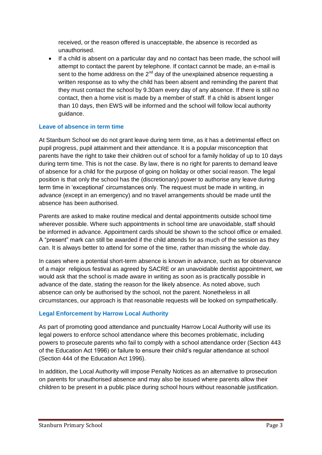received, or the reason offered is unacceptable, the absence is recorded as unauthorised.

 If a child is absent on a particular day and no contact has been made, the school will attempt to contact the parent by telephone. If contact cannot be made, an e-mail is sent to the home address on the  $2^{nd}$  day of the unexplained absence requesting a written response as to why the child has been absent and reminding the parent that they must contact the school by 9.30am every day of any absence. If there is still no contact, then a home visit is made by a member of staff. If a child is absent longer than 10 days, then EWS will be informed and the school will follow local authority guidance.

## **Leave of absence in term time**

At Stanburn School we do not grant leave during term time, as it has a detrimental effect on pupil progress, pupil attainment and their attendance. It is a popular misconception that parents have the right to take their children out of school for a family holiday of up to 10 days during term time. This is not the case. By law, there is no right for parents to demand leave of absence for a child for the purpose of going on holiday or other social reason. The legal position is that only the school has the (discretionary) power to authorise any leave during term time in 'exceptional' circumstances only. The request must be made in writing, in advance (except in an emergency) and no travel arrangements should be made until the absence has been authorised.

Parents are asked to make routine medical and dental appointments outside school time wherever possible. Where such appointments in school time are unavoidable, staff should be informed in advance. Appointment cards should be shown to the school office or emailed. A "present" mark can still be awarded if the child attends for as much of the session as they can. It is always better to attend for some of the time, rather than missing the whole day.

In cases where a potential short-term absence is known in advance, such as for observance of a major religious festival as agreed by SACRE or an unavoidable dentist appointment, we would ask that the school is made aware in writing as soon as is practically possible in advance of the date, stating the reason for the likely absence. As noted above, such absence can only be authorised by the school, not the parent. Nonetheless in all circumstances, our approach is that reasonable requests will be looked on sympathetically.

# **Legal Enforcement by Harrow Local Authority**

As part of promoting good attendance and punctuality Harrow Local Authority will use its legal powers to enforce school attendance where this becomes problematic, including powers to prosecute parents who fail to comply with a school attendance order (Section 443 of the Education Act 1996) or failure to ensure their child's regular attendance at school (Section 444 of the Education Act 1996).

In addition, the Local Authority will impose Penalty Notices as an alternative to prosecution on parents for unauthorised absence and may also be issued where parents allow their children to be present in a public place during school hours without reasonable justification.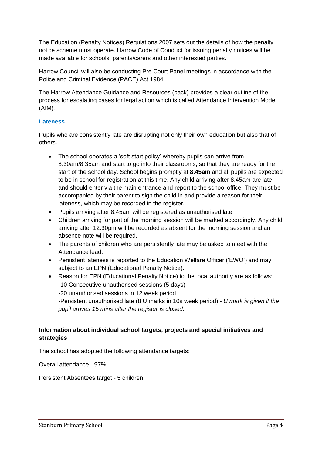The Education (Penalty Notices) Regulations 2007 sets out the details of how the penalty notice scheme must operate. Harrow Code of Conduct for issuing penalty notices will be made available for schools, parents/carers and other interested parties.

Harrow Council will also be conducting Pre Court Panel meetings in accordance with the Police and Criminal Evidence (PACE) Act 1984.

The Harrow Attendance Guidance and Resources (pack) provides a clear outline of the process for escalating cases for legal action which is called Attendance Intervention Model (AIM).

#### **Lateness**

Pupils who are consistently late are disrupting not only their own education but also that of others.

- The school operates a 'soft start policy' whereby pupils can arrive from 8.30am/8.35am and start to go into their classrooms, so that they are ready for the start of the school day. School begins promptly at **8.45am** and all pupils are expected to be in school for registration at this time. Any child arriving after 8.45am are late and should enter via the main entrance and report to the school office. They must be accompanied by their parent to sign the child in and provide a reason for their lateness, which may be recorded in the register.
- Pupils arriving after 8.45am will be registered as unauthorised late.
- Children arriving for part of the morning session will be marked accordingly. Any child arriving after 12.30pm will be recorded as absent for the morning session and an absence note will be required.
- The parents of children who are persistently late may be asked to meet with the Attendance lead.
- Persistent lateness is reported to the Education Welfare Officer ('EWO') and may subject to an EPN (Educational Penalty Notice).
- Reason for EPN (Educational Penalty Notice) to the local authority are as follows: -10 Consecutive unauthorised sessions (5 days) -20 unauthorised sessions in 12 week period -Persistent unauthorised late (8 U marks in 10s week period) - *U mark is given if the pupil arrives 15 mins after the register is closed.*

## **Information about individual school targets, projects and special initiatives and strategies**

The school has adopted the following attendance targets:

Overall attendance - 97%

Persistent Absentees target - 5 children